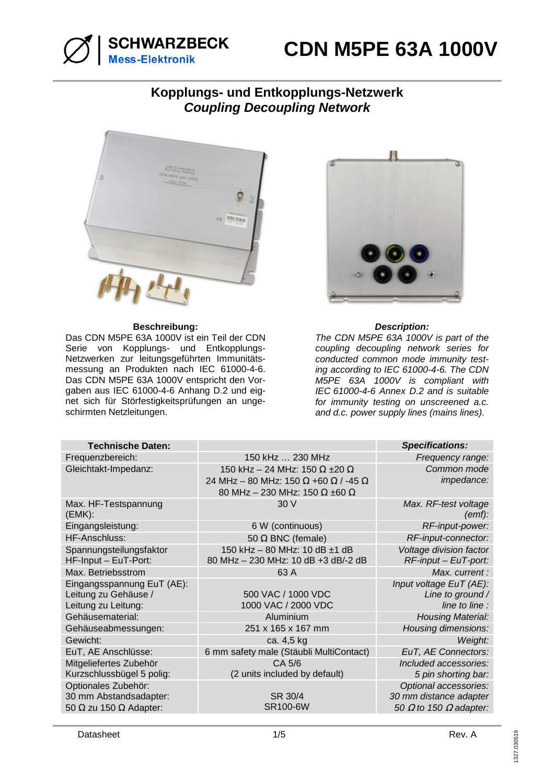

### **CDN M5PE 63A 1000V**

### **Kopplungs- und Entkopplungs-Netzwerk Coupling Decoupling Network**



### **Beschreibung: Description:**

Das CDN M5PE 63A 1000V ist ein Teil der CDN Serie von Kopplungs- und Entkopplungs-Netzwerken zur leitungsgeführten Immunitätsmessung an Produkten nach IEC 61000-4-6. Das CDN M5PE 63A 1000V entspricht den Vorgaben aus IEC 61000-4-6 Anhang D.2 und eignet sich für Störfestigkeitsprüfungen an ungeschirmten Netzleitungen.



The CDN M5PE 63A 1000V is part of the coupling decoupling network series for conducted common mode immunity testing according to IEC 61000-4-6. The CDN M5PE 63A 1000V is compliant with IEC 61000-4-6 Annex D.2 and is suitable for immunity testing on unscreened a.c. and d.c. power supply lines (mains lines).

| <b>Technische Daten:</b>                                                              |                                                                                                                                    | <b>Specifications:</b>                                                                  |
|---------------------------------------------------------------------------------------|------------------------------------------------------------------------------------------------------------------------------------|-----------------------------------------------------------------------------------------|
| Frequenzbereich:                                                                      | 150 kHz  230 MHz                                                                                                                   | Frequency range:                                                                        |
| Gleichtakt-Impedanz:                                                                  | 150 kHz - 24 MHz: 150 $\Omega$ ±20 $\Omega$<br>24 MHz - 80 MHz: 150 Ω +60 Ω / -45 Ω<br>80 MHz - 230 MHz: 150 $\Omega$ ±60 $\Omega$ | Common mode<br>impedance:                                                               |
| Max. HF-Testspannung<br>(EMK):                                                        | 30 V                                                                                                                               | Max. RF-test voltage<br>(emf):                                                          |
| Eingangsleistung:                                                                     | 6 W (continuous)                                                                                                                   | RF-input-power:                                                                         |
| HF-Anschluss:                                                                         | 50 $\Omega$ BNC (female)                                                                                                           | RF-input-connector:                                                                     |
| Spannungsteilungsfaktor<br>HF-Input - EuT-Port:                                       | 150 kHz - 80 MHz: 10 dB ±1 dB<br>80 MHz - 230 MHz: 10 dB +3 dB/-2 dB                                                               | Voltage division factor<br>$RF$ -input – EuT-port:                                      |
| Max. Betriebsstrom                                                                    | 63 A                                                                                                                               | Max. current:                                                                           |
| Eingangsspannung EuT (AE):<br>Leitung zu Gehäuse /<br>Leitung zu Leitung:             | 500 VAC / 1000 VDC<br>1000 VAC / 2000 VDC                                                                                          | Input voltage EuT (AE):<br>Line to ground /<br>line to line :                           |
| Gehäusematerial:                                                                      | Aluminium                                                                                                                          | <b>Housing Material:</b>                                                                |
| Gehäuseabmessungen:                                                                   | 251 x 165 x 167 mm                                                                                                                 | Housing dimensions:                                                                     |
| Gewicht:                                                                              | ca. 4,5 kg                                                                                                                         | Weight:                                                                                 |
| EuT, AE Anschlüsse:                                                                   | 6 mm safety male (Stäubli MultiContact)                                                                                            | EuT, AE Connectors:                                                                     |
| Mitgeliefertes Zubehör<br>Kurzschlussbügel 5 polig:                                   | CA 5/6<br>(2 units included by default)                                                                                            | Included accessories:<br>5 pin shorting bar:                                            |
| Optionales Zubehör:<br>30 mm Abstandsadapter:<br>50 $\Omega$ zu 150 $\Omega$ Adapter: | SR 30/4<br><b>SR100-6W</b>                                                                                                         | Optional accessories:<br>30 mm distance adapter<br>50 $\Omega$ to 150 $\Omega$ adapter: |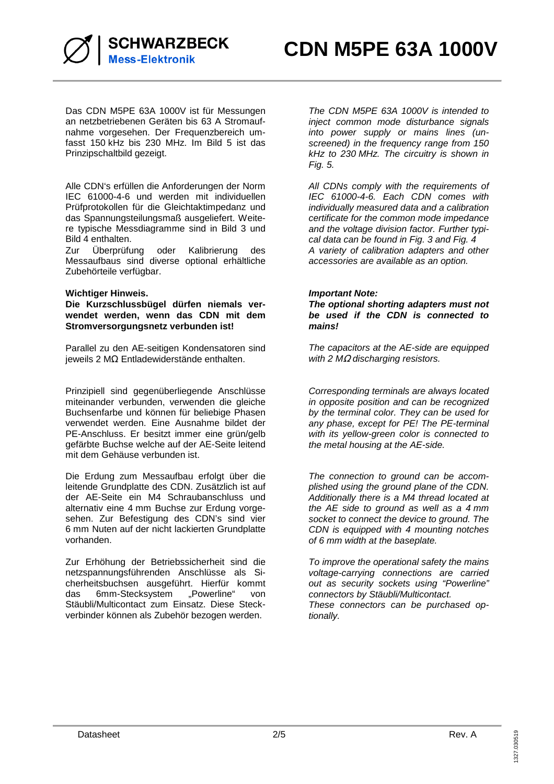

Das CDN M5PE 63A 1000V ist für Messungen an netzbetriebenen Geräten bis 63 A Stromaufnahme vorgesehen. Der Frequenzbereich umfasst 150 kHz bis 230 MHz. Im Bild 5 ist das Prinzipschaltbild gezeigt.

Alle CDN's erfüllen die Anforderungen der Norm IEC 61000-4-6 und werden mit individuellen Prüfprotokollen für die Gleichtaktimpedanz und das Spannungsteilungsmaß ausgeliefert. Weitere typische Messdiagramme sind in Bild 3 und Bild 4 enthalten.

Zur Überprüfung oder Kalibrierung des Messaufbaus sind diverse optional erhältliche Zubehörteile verfügbar.

### **Wichtiger Hinweis.**

**Die Kurzschlussbügel dürfen niemals verwendet werden, wenn das CDN mit dem Stromversorgungsnetz verbunden ist!** 

Parallel zu den AE-seitigen Kondensatoren sind jeweils 2 MΩ Entladewiderstände enthalten.

Prinzipiell sind gegenüberliegende Anschlüsse miteinander verbunden, verwenden die gleiche Buchsenfarbe und können für beliebige Phasen verwendet werden. Eine Ausnahme bildet der PE-Anschluss. Er besitzt immer eine grün/gelb gefärbte Buchse welche auf der AE-Seite leitend mit dem Gehäuse verbunden ist.

Die Erdung zum Messaufbau erfolgt über die leitende Grundplatte des CDN. Zusätzlich ist auf der AE-Seite ein M4 Schraubanschluss und alternativ eine 4 mm Buchse zur Erdung vorgesehen. Zur Befestigung des CDN's sind vier 6 mm Nuten auf der nicht lackierten Grundplatte vorhanden.

Zur Erhöhung der Betriebssicherheit sind die netzspannungsführenden Anschlüsse als Sicherheitsbuchsen ausgeführt. Hierfür kommt<br>das 6mm-Stecksystem "Powerline" von das 6mm-Stecksystem "Powerline" von Stäubli/Multicontact zum Einsatz. Diese Steckverbinder können als Zubehör bezogen werden.

The CDN M5PE 63A 1000V is intended to inject common mode disturbance signals into power supply or mains lines (unscreened) in the frequency range from 150 kHz to 230 MHz. The circuitry is shown in Fig. 5.

All CDNs comply with the requirements of IEC 61000-4-6. Each CDN comes with individually measured data and a calibration certificate for the common mode impedance and the voltage division factor. Further typical data can be found in Fig. 3 and Fig. 4 A variety of calibration adapters and other accessories are available as an option.

### **Important Note:**

**The optional shorting adapters must not be used if the CDN is connected to mains!** 

The capacitors at the AE-side are equipped with 2  $M\Omega$  discharging resistors.

Corresponding terminals are always located in opposite position and can be recognized by the terminal color. They can be used for any phase, except for PE! The PE-terminal with its yellow-green color is connected to the metal housing at the AE-side.

The connection to ground can be accomplished using the ground plane of the CDN. Additionally there is a M4 thread located at the AE side to ground as well as a 4 mm socket to connect the device to ground. The CDN is equipped with 4 mounting notches of 6 mm width at the baseplate.

To improve the operational safety the mains voltage-carrying connections are carried out as security sockets using "Powerline" connectors by Stäubli/Multicontact. These connectors can be purchased optionally.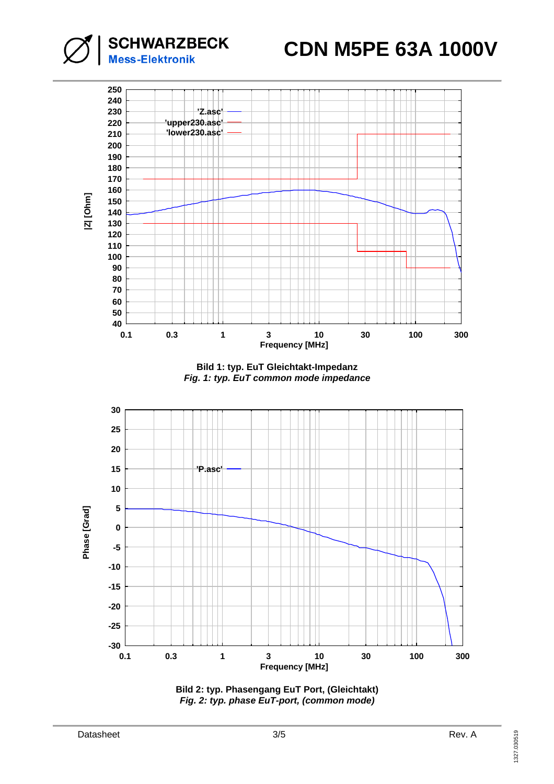# **CDN M5PE 63A 1000V**



**SCHWARZBECK** 

**Mess-Elektronik** 

**Bild 1: typ. EuT Gleichtakt-Impedanz Fig. 1: typ. EuT common mode impedance** 



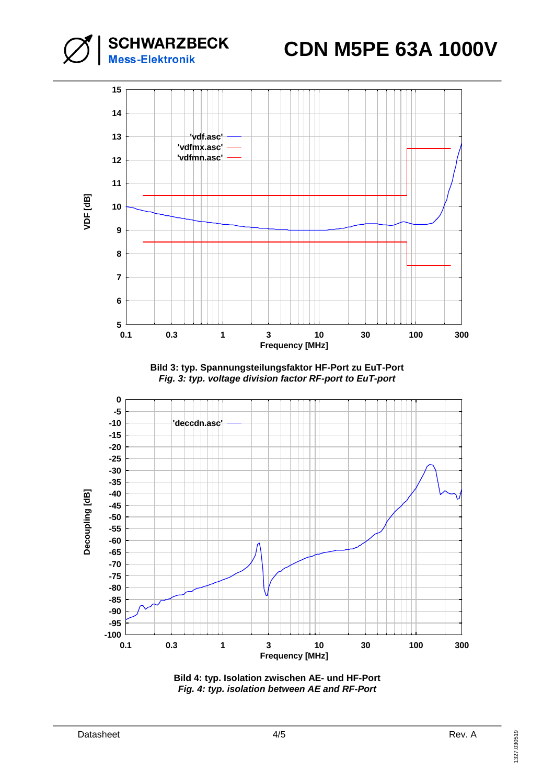# **CDN M5PE 63A 1000V**



**SCHWARZBECK** 

**Mess-Elektronik** 

**Bild 3: typ. Spannungsteilungsfaktor HF-Port zu EuT-Port Fig. 3: typ. voltage division factor RF-port to EuT-port**